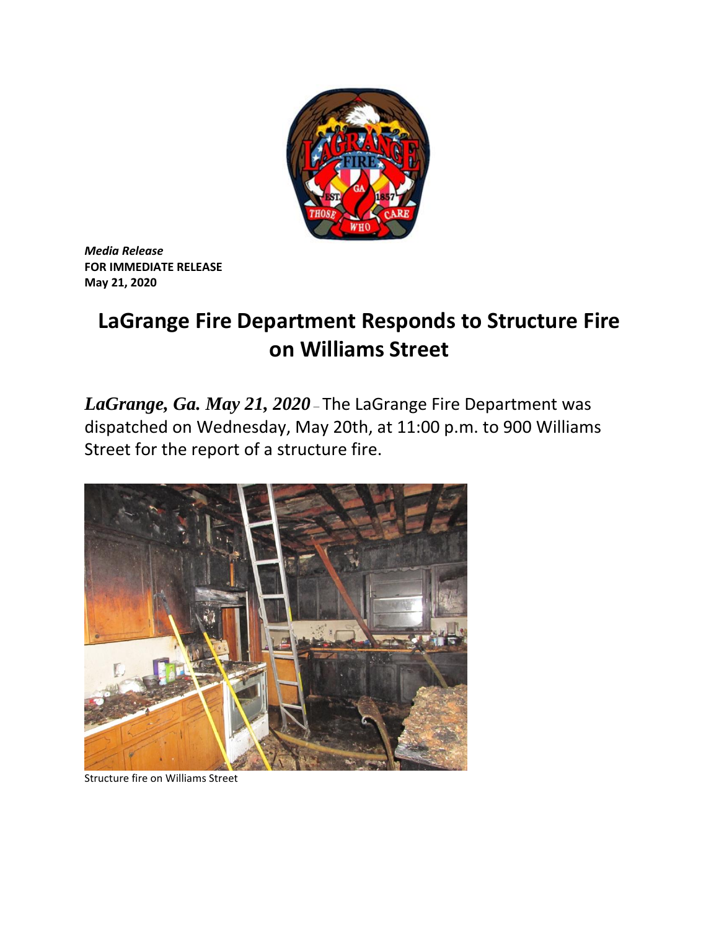

*Media Release* **FOR IMMEDIATE RELEASE May 21, 2020**

## **LaGrange Fire Department Responds to Structure Fire on Williams Street**

*LaGrange, Ga. May 21, 2020* – The LaGrange Fire Department was dispatched on Wednesday, May 20th, at 11:00 p.m. to 900 Williams Street for the report of a structure fire.



Structure fire on Williams Street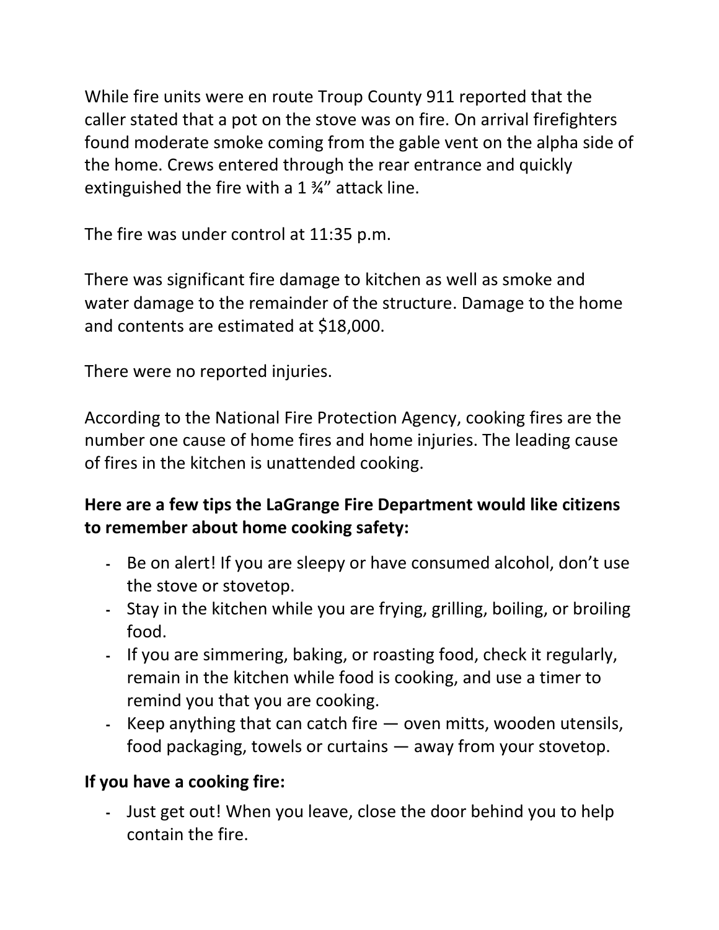While fire units were en route Troup County 911 reported that the caller stated that a pot on the stove was on fire. On arrival firefighters found moderate smoke coming from the gable vent on the alpha side of the home. Crews entered through the rear entrance and quickly extinguished the fire with a 1 ¾" attack line.

The fire was under control at 11:35 p.m.

There was significant fire damage to kitchen as well as smoke and water damage to the remainder of the structure. Damage to the home and contents are estimated at \$18,000.

There were no reported injuries.

According to the National Fire Protection Agency, cooking fires are the number one cause of home fires and home injuries. The leading cause of fires in the kitchen is unattended cooking.

## **Here are a few tips the LaGrange Fire Department would like citizens to remember about home cooking safety:**

- **-** Be on alert! If you are sleepy or have consumed alcohol, don't use the stove or stovetop.
- **-** Stay in the kitchen while you are frying, grilling, boiling, or broiling food.
- **-** If you are simmering, baking, or roasting food, check it regularly, remain in the kitchen while food is cooking, and use a timer to remind you that you are cooking.
- **-** Keep anything that can catch fire oven mitts, wooden utensils, food packaging, towels or curtains — away from your stovetop.

## **If you have a cooking fire:**

**-** Just get out! When you leave, close the door behind you to help contain the fire.